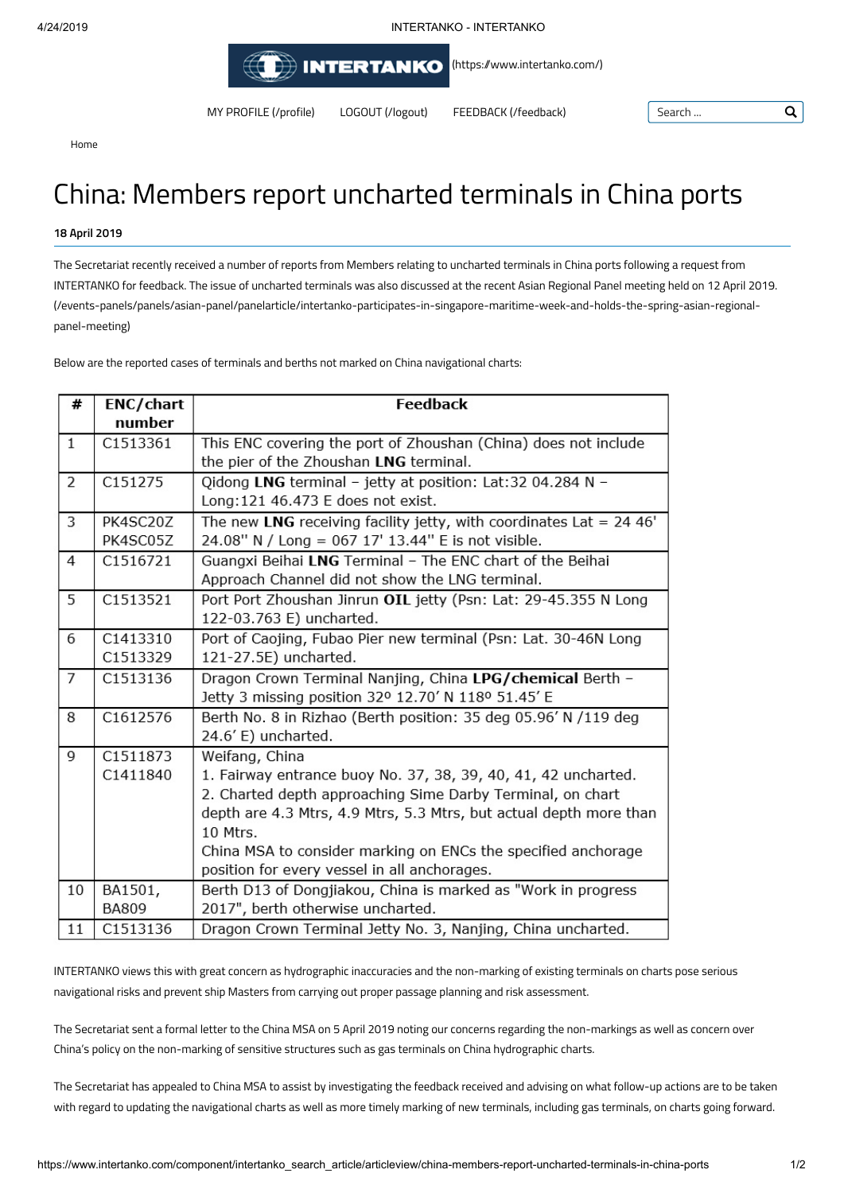4/24/2019 INTERTANKO - INTERTANKO

**INTERTANKO** [\(https:/www.intertanko.com/\)](https://www.intertanko.com/)

MY [PROFILE](https://www.intertanko.com/profile) (/profile) LOGOUT [\(/logout\)](https://www.intertanko.com/logout) FEEDBACK [\(/feedback\)](https://www.intertanko.com/feedback) Search ...

Q

Home

# China: Members report uncharted terminals in China ports

## **18 April 2019**

The Secretariat recently received a number of reports from Members relating to uncharted terminals in China ports following a request from INTERTANKO for feedback. The issue of uncharted terminals was also discussed at the recent Asian Regional Panel meeting held on 12 April 2019. [\(/events-panels/panels/asian-panel/panelarticle/intertanko-participates-in-singapore-maritime-week-and-holds-the-spring-asian-regional](https://www.intertanko.com/events-panels/panels/asian-panel/panelarticle/intertanko-participates-in-singapore-maritime-week-and-holds-the-spring-asian-regional-panel-meeting)panel-meeting)

Below are the reported cases of terminals and berths not marked on China navigational charts:

| #              | <b>ENC/chart</b>                                                                  | <b>Feedback</b>                                                    |  |
|----------------|-----------------------------------------------------------------------------------|--------------------------------------------------------------------|--|
|                | number                                                                            |                                                                    |  |
| $\mathbf{1}$   | C1513361                                                                          | This ENC covering the port of Zhoushan (China) does not include    |  |
|                |                                                                                   | the pier of the Zhoushan LNG terminal.                             |  |
| $\overline{2}$ | C151275                                                                           | Qidong LNG terminal - jetty at position: Lat:32 04.284 N -         |  |
|                |                                                                                   | Long: 121 46.473 E does not exist.                                 |  |
| 3              | PK4SC20Z<br>The new LNG receiving facility jetty, with coordinates Lat = $24.46'$ |                                                                    |  |
|                | PK4SC05Z                                                                          | 24.08" N / Long = 067 17' 13.44" E is not visible.                 |  |
| $\overline{4}$ | C1516721                                                                          | Guangxi Beihai LNG Terminal - The ENC chart of the Beihai          |  |
|                |                                                                                   | Approach Channel did not show the LNG terminal.                    |  |
| 5              | C1513521                                                                          | Port Port Zhoushan Jinrun OIL jetty (Psn: Lat: 29-45.355 N Long    |  |
|                |                                                                                   | 122-03.763 E) uncharted.                                           |  |
| 6              | C1413310                                                                          | Port of Caojing, Fubao Pier new terminal (Psn: Lat. 30-46N Long    |  |
|                | C1513329                                                                          | 121-27.5E) uncharted.                                              |  |
| $\overline{7}$ | C1513136                                                                          | Dragon Crown Terminal Nanjing, China LPG/chemical Berth -          |  |
|                |                                                                                   | Jetty 3 missing position 32º 12.70' N 118º 51.45' E                |  |
| 8              | C1612576<br>Berth No. 8 in Rizhao (Berth position: 35 deg 05.96' N /119 deg       |                                                                    |  |
|                |                                                                                   | 24.6' E) uncharted.                                                |  |
| $\overline{9}$ | C1511873                                                                          | Weifang, China                                                     |  |
|                | C1411840                                                                          | 1. Fairway entrance buoy No. 37, 38, 39, 40, 41, 42 uncharted.     |  |
|                |                                                                                   | 2. Charted depth approaching Sime Darby Terminal, on chart         |  |
|                |                                                                                   | depth are 4.3 Mtrs, 4.9 Mtrs, 5.3 Mtrs, but actual depth more than |  |
|                |                                                                                   | 10 Mtrs.                                                           |  |
|                |                                                                                   | China MSA to consider marking on ENCs the specified anchorage      |  |
|                |                                                                                   | position for every vessel in all anchorages.                       |  |
| 10             | BA1501,                                                                           | Berth D13 of Dongjiakou, China is marked as "Work in progress      |  |
|                | <b>BA809</b>                                                                      | 2017", berth otherwise uncharted.                                  |  |
| 11             | C1513136                                                                          | Dragon Crown Terminal Jetty No. 3, Nanjing, China uncharted.       |  |

INTERTANKO views this with great concern as hydrographic inaccuracies and the non-marking of existing terminals on charts pose serious navigational risks and prevent ship Masters from carrying out proper passage planning and risk assessment.

The Secretariat sent a formal letter to the China MSA on 5 April 2019 noting our concerns regarding the non-markings as well as concern over China's policy on the non-marking of sensitive structures such as gas terminals on China hydrographic charts.

The Secretariat has appealed to China MSA to assist by investigating the feedback received and advising on what follow-up actions are to be taken with regard to updating the navigational charts as well as more timely marking of new terminals, including gas terminals, on charts going forward.